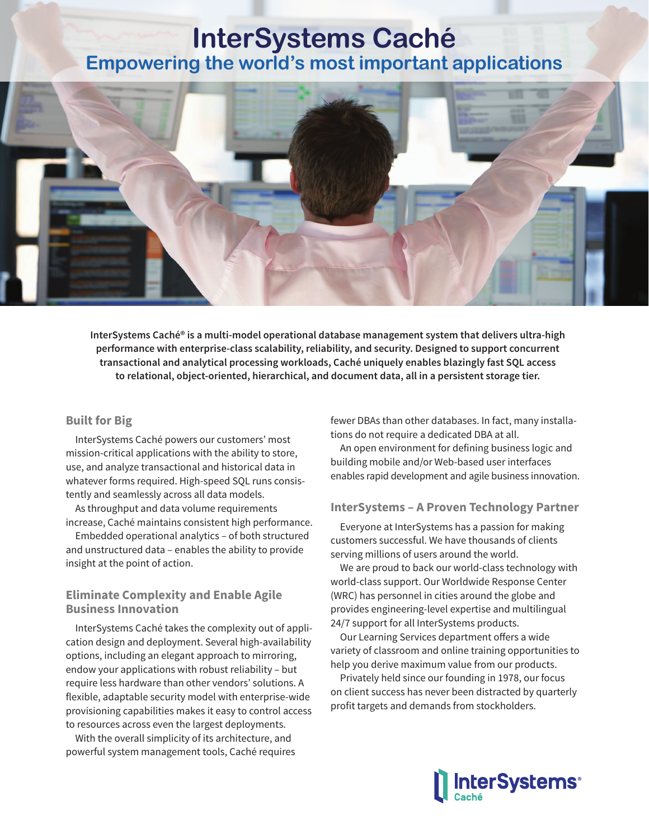## **InterSystems Caché Empowering the world's most important applications**



**InterSystems Caché® is a multi-model operational database management system that delivers ultra-high performance with enterprise-class scalability, reliability, and security. Designed to support concurrent transactional and analytical processing workloads, Caché uniquely enables blazingly fast SQL access to relational, object-oriented, hierarchical, and document data, all in a persistent storage tier.**

## **Built for Big**

InterSystems Caché powers our customers' most mission-critical applications with the ability to store, use, and analyze transactional and historical data in whatever forms required. High-speed SQL runs consistently and seamlessly across all data models.

As throughput and data volume requirements increase, Caché maintains consistent high performance.

Embedded operational analytics – of both structured and unstructured data – enables the ability to provide insight at the point of action.

### **Eliminate Complexity and Enable Agile Business Innovation**

InterSystems Caché takes the complexity out of application design and deployment. Several high-availability options, including an elegant approach to mirroring, endow your applications with robust reliability – but require less hardware than other vendors' solutions. A flexible, adaptable security model with enterprise-wide provisioning capabilities makes it easy to control access to resources across even the largest deployments.

With the overall simplicity of its architecture, and powerful system management tools, Caché requires fewer DBAs than other databases. In fact, many installations do not require a dedicated DBA at all.

An open environment for defining business logic and building mobile and/or Web-based user interfaces enables rapid development and agile business innovation.

#### **InterSystems – A Proven Technology Partner**

Everyone at InterSystems has a passion for making customers successful. We have thousands of clients serving millions of users around the world.

We are proud to back our world-class technology with world-class support. Our Worldwide Response Center (WRC) has personnel in cities around the globe and provides engineering-level expertise and multilingual 24/7 support for all InterSystems products.

Our Learning Services department offers a wide variety of classroom and online training opportunities to help you derive maximum value from our products.

Privately held since our founding in 1978, our focus on client success has never been distracted by quarterly profit targets and demands from stockholders.